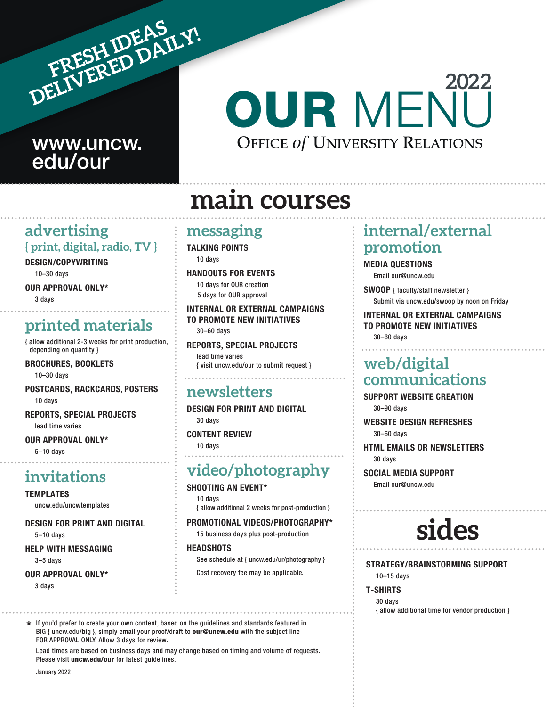

## www.uncw. edu/our

## OUR MENU OFFICE *of* UNIVERSITY RELATIONS **2022**

## **main courses**

#### **advertising { print, digital, radio, TV }**

DESIGN/COPYWRITING

10–30 days

OUR APPROVAL ONLY\*

3 days

## **printed materials**

{ allow additional 2-3 weeks for print production, depending on quantity }

BROCHURES, BOOKLETS

10–30 days

POSTCARDS, RACKCARDS, POSTERS 10 days

REPORTS, SPECIAL PROJECTS lead time varies

OUR APPROVAL ONLY\* 5–10 days

## **invitations**

TEMPLATES

uncw.edu/uncwtemplates

DESIGN FOR PRINT AND DIGITAL

5–10 days

HELP WITH MESSAGING

3–5 days

#### OUR APPROVAL ONLY\*

3 days

### **messaging**

TALKING POINTS 10 days

HANDOUTS FOR EVENTS

10 days for OUR creation 5 days for OUR approval

INTERNAL OR EXTERNAL CAMPAIGNS TO PROMOTE NEW INITIATIVES 30–60 days

REPORTS, SPECIAL PROJECTS lead time varies { visit uncw.edu/our to submit request }

### **newsletters**

DESIGN FOR PRINT AND DIGITAL 30 days

#### CONTENT REVIEW

10 days

## **video/photography**

#### SHOOTING AN EVENT\*

10 days

{ allow additional 2 weeks for post-production }

#### PROMOTIONAL VIDEOS/PHOTOGRAPHY\*

15 business days plus post-production

#### **HEADSHOTS**

See schedule at { uncw.edu/ur/photography } Cost recovery fee may be applicable.

\* If you'd prefer to create your own content, based on the guidelines and standards featured in BIG { uncw.edu/big }, simply email your proof/draft to our@uncw.edu with the subject line FOR APPROVAL ONLY. Allow 3 days for review.

Lead times are based on business days and may change based on timing and volume of requests. Please visit uncw.edu/our for latest guidelines.

## **internal/external promotion**

#### MEDIA QUESTIONS

Email our@uncw.edu

SWOOP { faculty/staff newsletter } Submit via uncw.edu/swoop by noon on Friday

#### INTERNAL OR EXTERNAL CAMPAIGNS TO PROMOTE NEW INITIATIVES 30–60 days

## **web/digital communications**

SUPPORT WEBSITE CREATION 30–90 days

WEBSITE DESIGN REFRESHES 30–60 days

HTML EMAILS OR NEWSLETTERS 30 days

SOCIAL MEDIA SUPPORT Email our@uncw.edu

## **sides**

STRATEGY/BRAINSTORMING SUPPORT 10–15 days

#### T-SHIRTS

30 days { allow additional time for vendor production }

January 2022